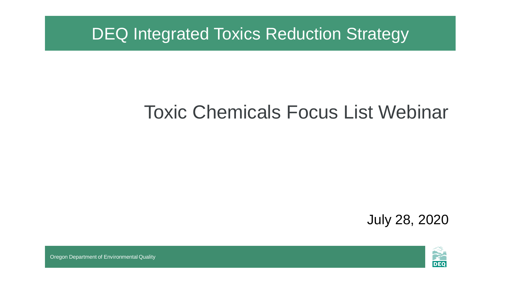DEQ Integrated Toxics Reduction Strategy

# Toxic Chemicals Focus List Webinar

July 28, 2020



Oregon Department of Environmental Quality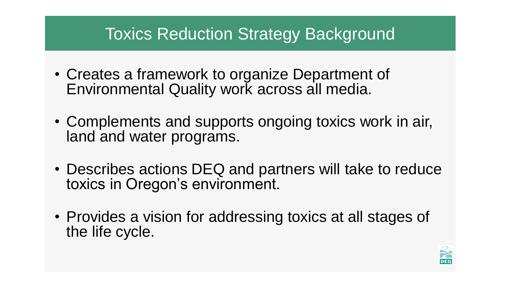# Toxics Reduction Strategy Background

- Creates a framework to organize Department of Environmental Quality work across all media.
- Complements and supports ongoing toxics work in air, land and water programs.
- Describes actions DEQ and partners will take to reduce toxics in Oregon's environment.
- Provides a vision for addressing toxics at all stages of the life cycle.

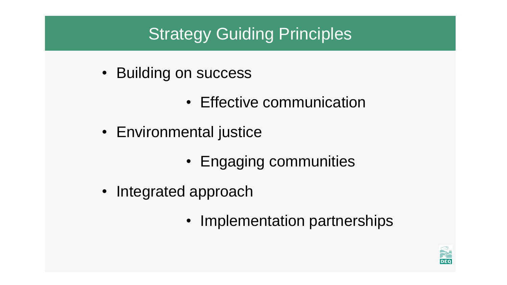# Strategy Guiding Principles

- Building on success
	- Effective communication
- Environmental justice
	- Engaging communities
- Integrated approach
	- Implementation partnerships

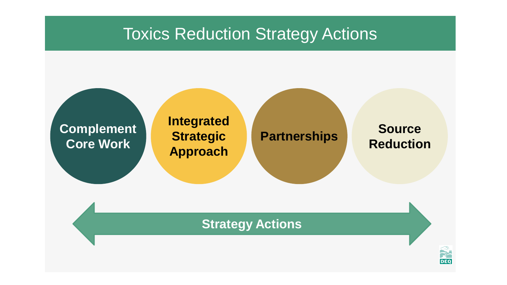#### Toxics Reduction Strategy Actions

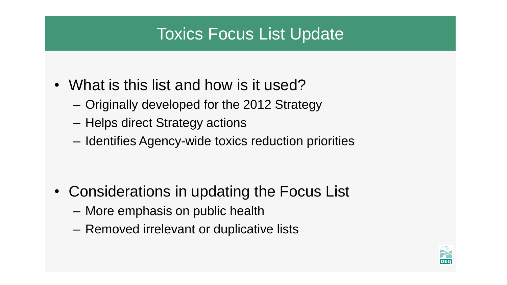# Toxics Focus List Update

- What is this list and how is it used?
	- Originally developed for the 2012 Strategy
	- Helps direct Strategy actions
	- Identifies Agency-wide toxics reduction priorities

- Considerations in updating the Focus List
	- More emphasis on public health
	- Removed irrelevant or duplicative lists

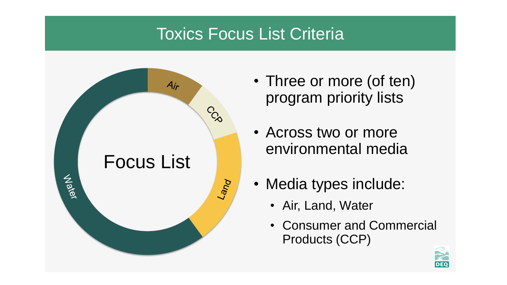# Toxics Focus List Criteria



- Three or more (of ten) program priority lists
- Across two or more environmental media
- Media types include:
	- Air, Land, Water
	- Consumer and Commercial Products (CCP)

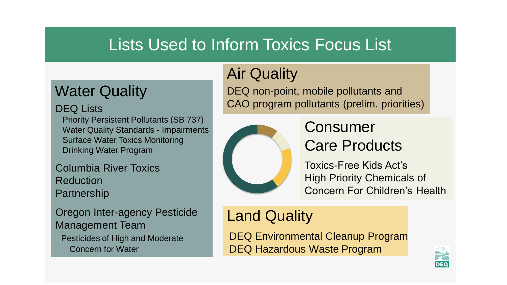# Lists Used to Inform Toxics Focus List

### Water Quality

#### DEQ Lists

Priority Persistent Pollutants (SB 737) Water Quality Standards - Impairments Surface Water Toxics Monitoring Drinking Water Program

Columbia River Toxics Reduction Partnership

Oregon Inter-agency Pesticide Management Team Pesticides of High and Moderate Concern for Water

# Air Quality

DEQ non-point, mobile pollutants and CAO program pollutants (prelim. priorities)



#### Consumer Care Products

Toxics-Free Kids Act's High Priority Chemicals of Concern For Children's Health

#### Land Quality

DEQ Environmental Cleanup Program DEQ Hazardous Waste Program

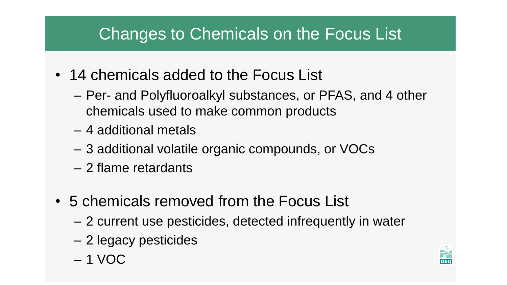# Changes to Chemicals on the Focus List

- 14 chemicals added to the Focus List
	- Per- and Polyfluoroalkyl substances, or PFAS, and 4 other chemicals used to make common products
	- 4 additional metals
	- 3 additional volatile organic compounds, or VOCs
	- 2 flame retardants
- 5 chemicals removed from the Focus List
	- 2 current use pesticides, detected infrequently in water
	- 2 legacy pesticides
	- 1 VOC

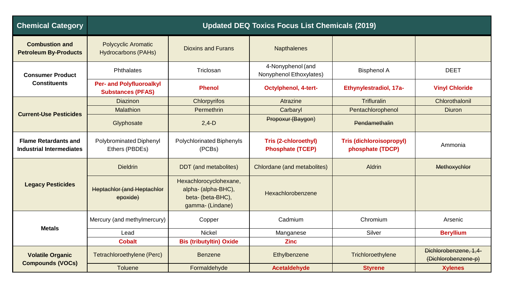| <b>Chemical Category</b>                                       | <b>Updated DEQ Toxics Focus List Chemicals (2019)</b>       |                                                                                        |                                                 |                                                     |                                              |
|----------------------------------------------------------------|-------------------------------------------------------------|----------------------------------------------------------------------------------------|-------------------------------------------------|-----------------------------------------------------|----------------------------------------------|
| <b>Combustion and</b><br><b>Petroleum By-Products</b>          | <b>Polycyclic Aromatic</b><br><b>Hydrocarbons (PAHs)</b>    | <b>Dioxins and Furans</b>                                                              | <b>Napthalenes</b>                              |                                                     |                                              |
| <b>Consumer Product</b><br><b>Constituents</b>                 | <b>Phthalates</b>                                           | Triclosan                                                                              | 4-Nonyphenol (and<br>Nonyphenol Ethoxylates)    | <b>Bisphenol A</b>                                  | <b>DEET</b>                                  |
|                                                                | <b>Per- and Polyfluoroalkyl</b><br><b>Substances (PFAS)</b> | <b>Phenol</b>                                                                          | <b>Octylphenol, 4-tert-</b>                     | Ethynylestradiol, 17a-                              | <b>Vinyl Chloride</b>                        |
| <b>Current-Use Pesticides</b>                                  | <b>Diazinon</b>                                             | Chlorpyrifos                                                                           | Atrazine                                        | <b>Trifluralin</b>                                  | Chlorothalonil                               |
|                                                                | Malathion                                                   | Permethrin                                                                             | Carbaryl                                        | Pentachlorophenol                                   | <b>Diuron</b>                                |
|                                                                | Glyphosate                                                  | $2,4-D$                                                                                | Propoxur (Baygon)                               | Pendamethalin                                       |                                              |
| <b>Flame Retardants and</b><br><b>Industrial Intermediates</b> | <b>Polybrominated Diphenyl</b><br>Ethers (PBDEs)            | Polychlorinated Biphenyls<br>(PCBs)                                                    | Tris (2-chloroethyl)<br><b>Phosphate (TCEP)</b> | <b>Tris (dichloroisopropyl)</b><br>phosphate (TDCP) | Ammonia                                      |
| <b>Legacy Pesticides</b>                                       | <b>Dieldrin</b>                                             | <b>DDT</b> (and metabolites)                                                           | Chlordane (and metabolites)                     | Aldrin                                              | Methoxychlor                                 |
|                                                                | <b>Heptachlor (and Heptachlor</b><br>epoxide)               | Hexachlorocyclohexane,<br>alpha- (alpha-BHC),<br>beta- (beta-BHC),<br>gamma- (Lindane) | Hexachlorobenzene                               |                                                     |                                              |
| <b>Metals</b>                                                  | Mercury (and methylmercury)                                 | Copper                                                                                 | Cadmium                                         | Chromium                                            | Arsenic                                      |
|                                                                | Lead                                                        | <b>Nickel</b>                                                                          | Manganese                                       | Silver                                              | <b>Beryllium</b>                             |
|                                                                | <b>Cobalt</b>                                               | <b>Bis (tributyltin) Oxide</b>                                                         | <b>Zinc</b>                                     |                                                     |                                              |
| <b>Volatile Organic</b><br><b>Compounds (VOCs)</b>             | Tetrachloroethylene (Perc)                                  | <b>Benzene</b>                                                                         | Ethylbenzene                                    | Trichloroethylene                                   | Dichlorobenzene, 1,4-<br>(Dichlorobenzene-p) |
|                                                                | <b>Toluene</b>                                              | Formaldehyde                                                                           | <b>Acetaldehyde</b>                             | <b>Styrene</b>                                      | <b>Xylenes</b>                               |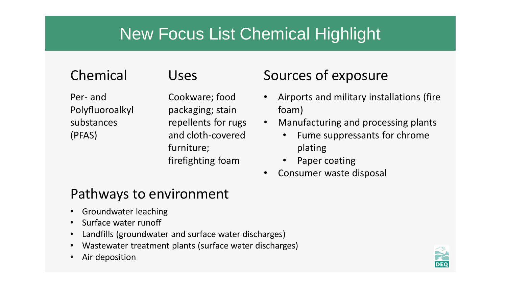# New Focus List Chemical Highlight

Per- and Polyfluoroalkyl substances (PFAS)

Cookware; food packaging; stain repellents for rugs and cloth-covered furniture; firefighting foam

#### Chemical Uses Sources of exposure

- Airports and military installations (fire foam)
- Manufacturing and processing plants
	- Fume suppressants for chrome plating
	- Paper coating
- Consumer waste disposal

#### Pathways to environment

- Groundwater leaching
- Surface water runoff
- Landfills (groundwater and surface water discharges)
- Wastewater treatment plants (surface water discharges)
- Air deposition

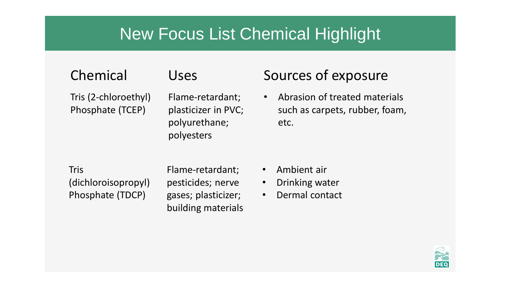### New Focus List Chemical Highlight

Tris (2-chloroethyl) Phosphate (TCEP)

Flame-retardant; plasticizer in PVC; polyurethane; polyesters

#### Chemical Uses Sources of exposure

• Abrasion of treated materials such as carpets, rubber, foam, etc.

Tris (dichloroisopropyl) Phosphate (TDCP)

Flame-retardant; pesticides; nerve gases; plasticizer; building materials

- Ambient air
- Drinking water
- Dermal contact

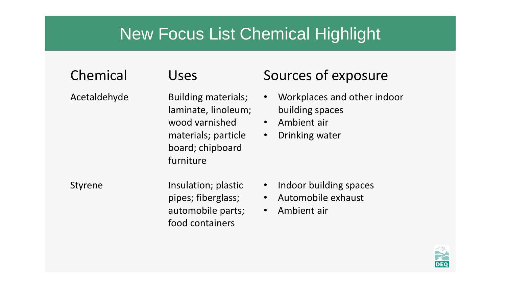## New Focus List Chemical Highlight

#### Chemical Uses Sources of exposure Acetaldehyde **building materials**; • Workplaces and other indoor building spaces • Ambient air • Drinking water Building materials; laminate, linoleum; wood varnished materials; particle board; chipboard furniture Styrene **EXACTE ENGINEER IN A Insulation; plastic** • Indoor building spaces • Automobile exhaust • Ambient air Insulation; plastic pipes; fiberglass; automobile parts; food containers

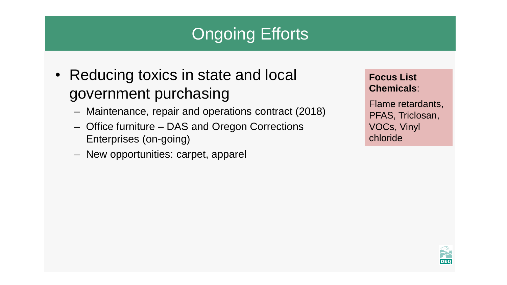# **Ongoing Efforts**

- Reducing toxics in state and local government purchasing
	- Maintenance, repair and operations contract (2018)
	- Office furniture DAS and Oregon Corrections Enterprises (on-going)
	- New opportunities: carpet, apparel

**Focus List Chemicals**:

Flame retardants, PFAS, Triclosan, VOCs, Vinyl chloride

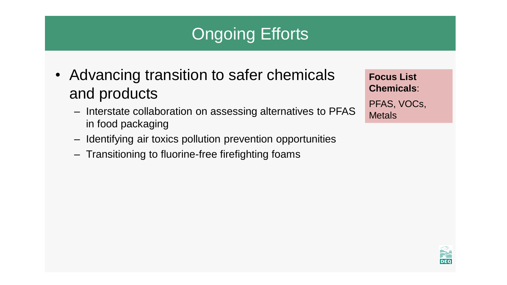# Ongoing Efforts

- Advancing transition to safer chemicals and products
	- Interstate collaboration on assessing alternatives to PFAS in food packaging
	- Identifying air toxics pollution prevention opportunities
	- Transitioning to fluorine-free firefighting foams

**Focus List Chemicals**: PFAS, VOCs, **Metals** 

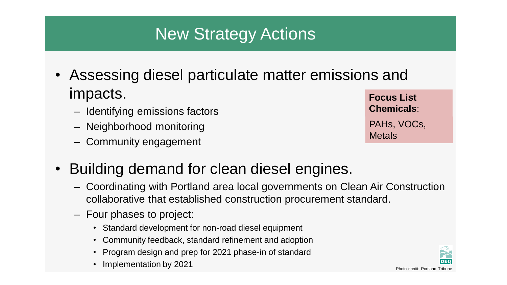# New Strategy Actions

- Assessing diesel particulate matter emissions and impacts.
	- Identifying emissions factors
	- Neighborhood monitoring
	- Community engagement
- **Focus List Chemicals**: PAHs, VOCs, **Metals**
- Building demand for clean diesel engines.
	- Coordinating with Portland area local governments on Clean Air Construction collaborative that established construction procurement standard.
	- Four phases to project:
		- Standard development for non-road diesel equipment
		- Community feedback, standard refinement and adoption
		- Program design and prep for 2021 phase-in of standard
		- Implementation by 2021 Photo Credit: Portland Tribune

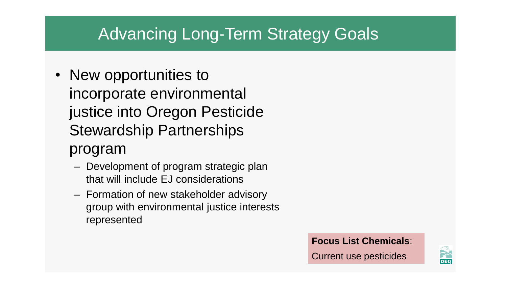## Advancing Long-Term Strategy Goals

• New opportunities to incorporate environmental justice into Oregon Pesticide Stewardship Partnerships

#### program

- Development of program strategic plan that will include EJ considerations
- Formation of new stakeholder advisory group with environmental justice interests represented

#### **Focus List Chemicals**:

Current use pesticides

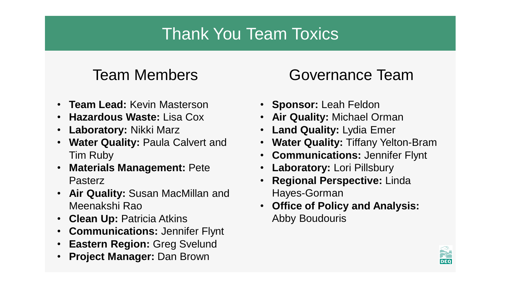# Thank You Team Toxics

- **Team Lead:** Kevin Masterson
- **Hazardous Waste:** Lisa Cox
- **Laboratory:** Nikki Marz
- **Water Quality:** Paula Calvert and Tim Ruby
- **Materials Management:** Pete **Pasterz**
- **Air Quality:** Susan MacMillan and Meenakshi Rao
- **Clean Up:** Patricia Atkins
- **Communications:** Jennifer Flynt
- **Eastern Region:** Greg Svelund
- **Project Manager:** Dan Brown

### Team Members **Governance Team**

- **Sponsor:** Leah Feldon
- **Air Quality:** Michael Orman
- **Land Quality:** Lydia Emer
- **Water Quality:** Tiffany Yelton-Bram
- **Communications:** Jennifer Flynt
- **Laboratory:** Lori Pillsbury
- **Regional Perspective:** Linda Hayes-Gorman
- **Office of Policy and Analysis:**  Abby Boudouris